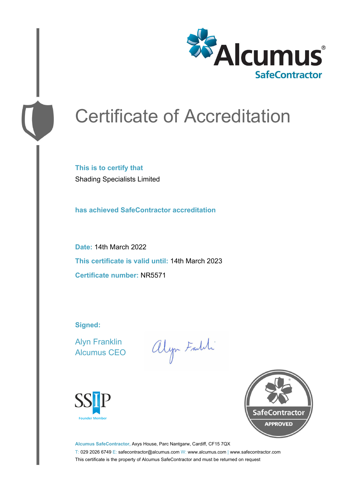

# Certificate of Accreditation

**This is to certify that** Shading Specialists Limited

**has achieved SafeContractor accreditation**

**Date:** 14th March 2022 **This certificate is valid until:** 14th March 2023 **Certificate number:** NR5571

**Signed:**

Alyn Franklin Alcumus CEO

alyn Faith





**Alcumus SafeContractor,** Axys House, Parc Nantgarw, Cardiff, CF15 7QX T: 029 2026 6749 E: safecontractor@alcumus.com W: www.alcumus.com | www.safecontractor.com This certificate is the property of Alcumus SafeContractor and must be returned on request